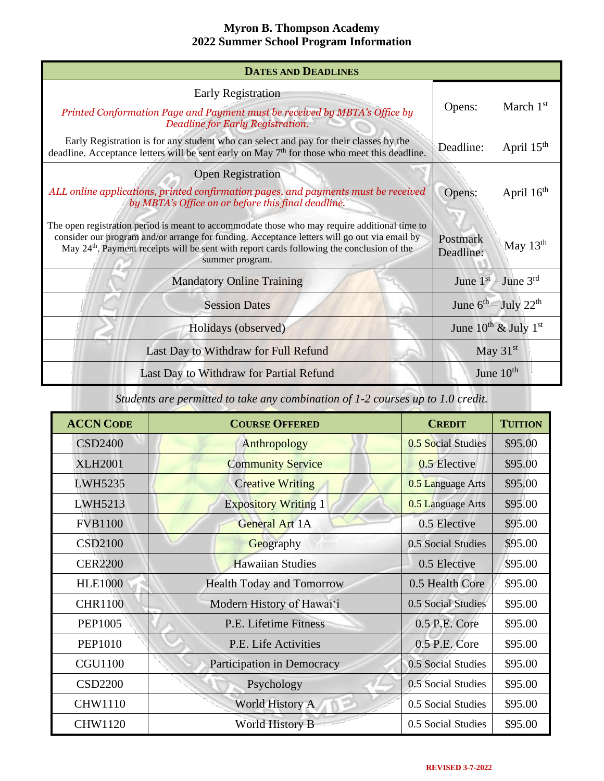| <b>DATES AND DEADLINES</b>                                                                                                                                                                                                                                                                                                 |                                       |  |
|----------------------------------------------------------------------------------------------------------------------------------------------------------------------------------------------------------------------------------------------------------------------------------------------------------------------------|---------------------------------------|--|
| Early Registration                                                                                                                                                                                                                                                                                                         |                                       |  |
| March $1st$<br>Opens:<br>Printed Conformation Page and Payment must be received by MBTA's Office by<br>Deadline for Early Registration.                                                                                                                                                                                    |                                       |  |
| Early Registration is for any student who can select and pay for their classes by the<br>deadline. Acceptance letters will be sent early on May $7th$ for those who meet this deadline.                                                                                                                                    | April $15th$<br>Deadline:             |  |
| <b>Open Registration</b>                                                                                                                                                                                                                                                                                                   |                                       |  |
| ALL online applications, printed confirmation pages, and payments must be received<br>by MBTA's Office on or before this final deadline.                                                                                                                                                                                   | April 16 <sup>th</sup><br>Opens:      |  |
| The open registration period is meant to accommodate those who may require additional time to<br>consider our program and/or arrange for funding. Acceptance letters will go out via email by<br>May 24 <sup>th</sup> . Payment receipts will be sent with report cards following the conclusion of the<br>summer program. | Postmark<br>May $13th$<br>Deadline:   |  |
| <b>Mandatory Online Training</b>                                                                                                                                                                                                                                                                                           | June $1st - June 3rd$                 |  |
| <b>Session Dates</b>                                                                                                                                                                                                                                                                                                       | June $6^{th}$ – July 22 <sup>th</sup> |  |
| Holidays (observed)                                                                                                                                                                                                                                                                                                        | June $10^{th}$ & July $1^{st}$        |  |
| Last Day to Withdraw for Full Refund                                                                                                                                                                                                                                                                                       | May $31st$                            |  |
| Last Day to Withdraw for Partial Refund                                                                                                                                                                                                                                                                                    | June $10th$                           |  |

*Students are permitted to take any combination of 1-2 courses up to 1.0 credit.*

| <b>ACCN CODE</b> | <b>COURSE OFFERED</b>            | <b>CREDIT</b>      | <b>TUITION</b> |
|------------------|----------------------------------|--------------------|----------------|
| <b>CSD2400</b>   | Anthropology                     | 0.5 Social Studies | \$95.00        |
| <b>XLH2001</b>   | <b>Community Service</b>         | $0.5$ Elective     | \$95.00        |
| LWH5235          | <b>Creative Writing</b>          | 0.5 Language Arts  | \$95.00        |
| LWH5213          | <b>Expository Writing 1</b>      | 0.5 Language Arts  | \$95.00        |
| <b>FVB1100</b>   | <b>General Art 1A</b>            | 0.5 Elective       | \$95.00        |
| <b>CSD2100</b>   | Geography                        | 0.5 Social Studies | \$95.00        |
| <b>CER2200</b>   | <b>Hawaiian Studies</b>          | 0.5 Elective       | \$95.00        |
| <b>HLE1000</b>   | <b>Health Today and Tomorrow</b> | 0.5 Health Core    | \$95.00        |
| <b>CHR1100</b>   | Modern History of Hawai'i        | 0.5 Social Studies | \$95.00        |
| PEP1005          | P.E. Lifetime Fitness            | 0.5 P.E. Core      | \$95.00        |
| <b>PEP1010</b>   | P.E. Life Activities             | 0.5 P.E. Core      | \$95.00        |
| <b>CGU1100</b>   | Participation in Democracy       | 0.5 Social Studies | \$95.00        |
| <b>CSD2200</b>   | Psychology                       | 0.5 Social Studies | \$95.00        |
| <b>CHW1110</b>   | <b>World History A</b>           | 0.5 Social Studies | \$95.00        |
| <b>CHW1120</b>   | <b>World History B</b>           | 0.5 Social Studies | \$95.00        |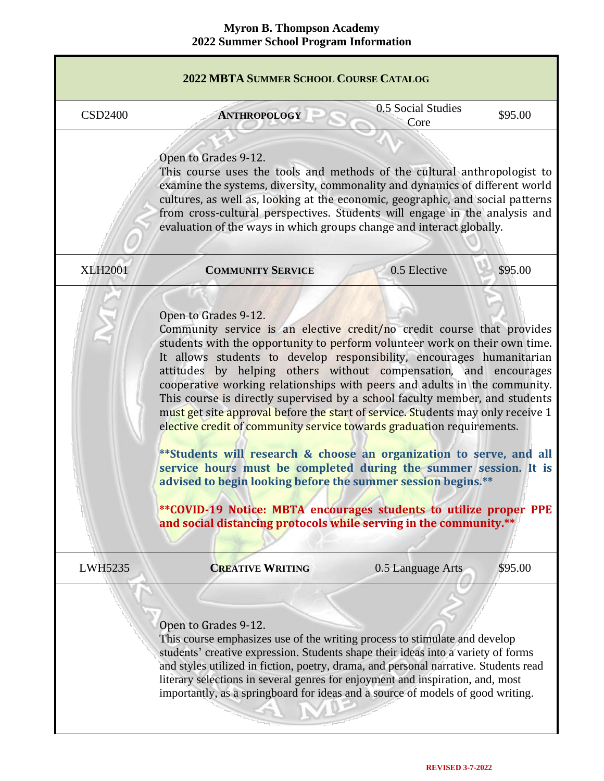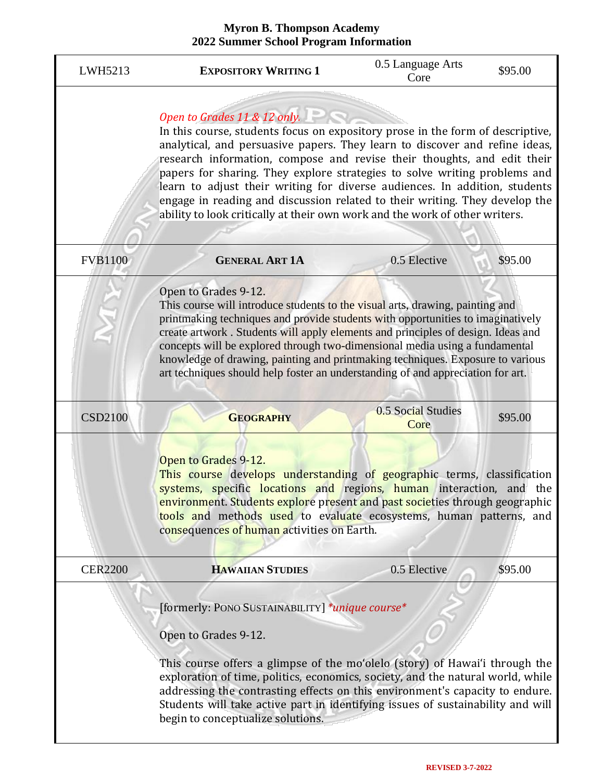| LWH5213        | <b>EXPOSITORY WRITING 1</b>                                                                                                                                                                                                                                                                                                                                                                                                                                                                                                                                                                       | 0.5 Language Arts<br>Core  | \$95.00 |
|----------------|---------------------------------------------------------------------------------------------------------------------------------------------------------------------------------------------------------------------------------------------------------------------------------------------------------------------------------------------------------------------------------------------------------------------------------------------------------------------------------------------------------------------------------------------------------------------------------------------------|----------------------------|---------|
|                | Open to Grades 11 & 12 only.<br>In this course, students focus on expository prose in the form of descriptive,<br>analytical, and persuasive papers. They learn to discover and refine ideas,<br>research information, compose and revise their thoughts, and edit their<br>papers for sharing. They explore strategies to solve writing problems and<br>learn to adjust their writing for diverse audiences. In addition, students<br>engage in reading and discussion related to their writing. They develop the<br>ability to look critically at their own work and the work of other writers. |                            |         |
| <b>FVB1100</b> | <b>GENERAL ART 1A</b>                                                                                                                                                                                                                                                                                                                                                                                                                                                                                                                                                                             | 0.5 Elective               | \$95.00 |
|                | Open to Grades 9-12.<br>This course will introduce students to the visual arts, drawing, painting and<br>printmaking techniques and provide students with opportunities to imaginatively<br>create artwork. Students will apply elements and principles of design. Ideas and<br>concepts will be explored through two-dimensional media using a fundamental<br>knowledge of drawing, painting and printmaking techniques. Exposure to various<br>art techniques should help foster an understanding of and appreciation for art.                                                                  |                            |         |
| <b>CSD2100</b> | <b>GEOGRAPHY</b>                                                                                                                                                                                                                                                                                                                                                                                                                                                                                                                                                                                  | 0.5 Social Studies<br>Core | \$95.00 |
|                | Open to Grades 9-12.<br>This course develops understanding of geographic terms, classification<br>systems, specific locations and regions, human interaction, and the<br>environment. Students explore present and past societies through geographic<br>tools and methods used to evaluate ecosystems, human patterns, and<br>consequences of human activities on Earth.                                                                                                                                                                                                                          |                            |         |
| <b>CER2200</b> | <b>HAWAIIAN STUDIES</b>                                                                                                                                                                                                                                                                                                                                                                                                                                                                                                                                                                           | 0.5 Elective               | \$95.00 |
|                | [formerly: PONO SUSTAINABILITY] *unique course*<br>Open to Grades 9-12.<br>This course offers a glimpse of the mo'olelo (story) of Hawai'i through the<br>exploration of time, politics, economics, society, and the natural world, while<br>addressing the contrasting effects on this environment's capacity to endure.<br>Students will take active part in identifying issues of sustainability and will<br>begin to conceptualize solutions.                                                                                                                                                 |                            |         |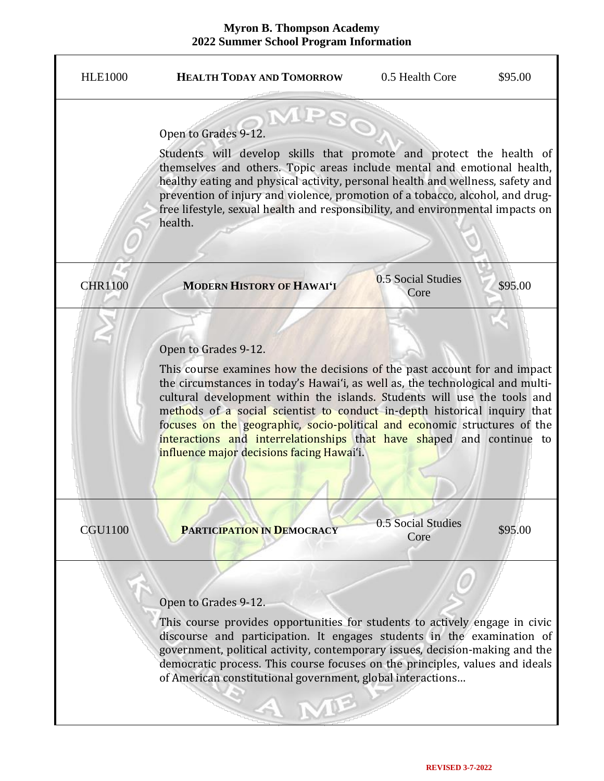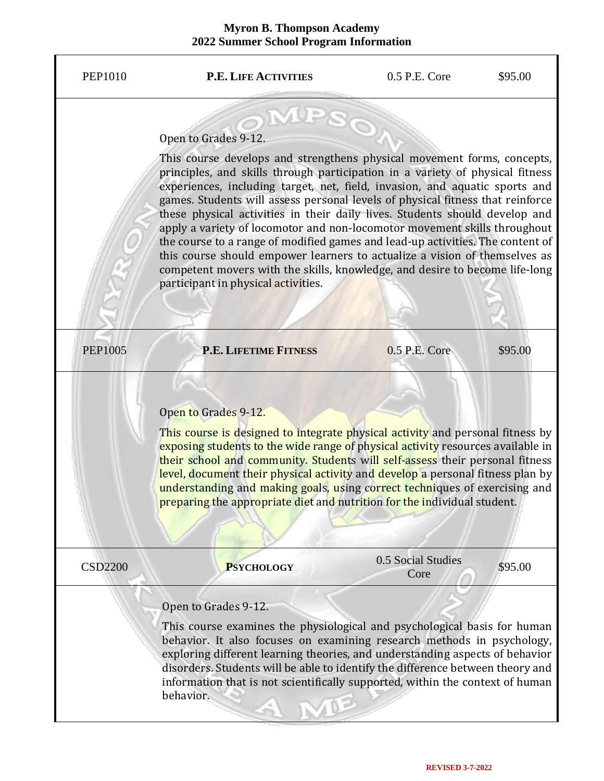| <b>PEP1010</b> | <b>P.E. LIFE ACTIVITIES</b>                                                                                                                                                                                                                                                                                                                                                                                                                                                                                                                                                                                                                                                                                                                                                                         | 0.5 P.E. Core              | \$95.00 |
|----------------|-----------------------------------------------------------------------------------------------------------------------------------------------------------------------------------------------------------------------------------------------------------------------------------------------------------------------------------------------------------------------------------------------------------------------------------------------------------------------------------------------------------------------------------------------------------------------------------------------------------------------------------------------------------------------------------------------------------------------------------------------------------------------------------------------------|----------------------------|---------|
|                | Open to Grades 9-12.<br>This course develops and strengthens physical movement forms, concepts,<br>principles, and skills through participation in a variety of physical fitness<br>experiences, including target, net, field, invasion, and aquatic sports and<br>games. Students will assess personal levels of physical fitness that reinforce<br>these physical activities in their daily lives. Students should develop and<br>apply a variety of locomotor and non-locomotor movement skills throughout<br>the course to a range of modified games and lead-up activities. The content of<br>this course should empower learners to actualize a vision of themselves as<br>competent movers with the skills, knowledge, and desire to become life-long<br>participant in physical activities. |                            |         |
| <b>PEP1005</b> | <b>P.E. LIFETIME FITNESS</b>                                                                                                                                                                                                                                                                                                                                                                                                                                                                                                                                                                                                                                                                                                                                                                        | 0.5 P.E. Core              | \$95.00 |
|                | Open to Grades 9-12.<br>This course is designed to integrate physical activity and personal fitness by<br>exposing students to the wide range of physical activity resources available in<br>their school and community. Students will self-assess their personal fitness<br>level, document their physical activity and develop a personal fitness plan by<br>understanding and making goals, using correct techniques of exercising and<br>preparing the appropriate diet and nutrition for the individual student.                                                                                                                                                                                                                                                                               |                            |         |
| <b>CSD2200</b> | <b>PSYCHOLOGY</b>                                                                                                                                                                                                                                                                                                                                                                                                                                                                                                                                                                                                                                                                                                                                                                                   | 0.5 Social Studies<br>Core | \$95.00 |
|                | Open to Grades 9-12.<br>This course examines the physiological and psychological basis for human<br>behavior. It also focuses on examining research methods in psychology,<br>exploring different learning theories, and understanding aspects of behavior<br>disorders. Students will be able to identify the difference between theory and<br>information that is not scientifically supported, within the context of human<br>behavior.                                                                                                                                                                                                                                                                                                                                                          |                            |         |